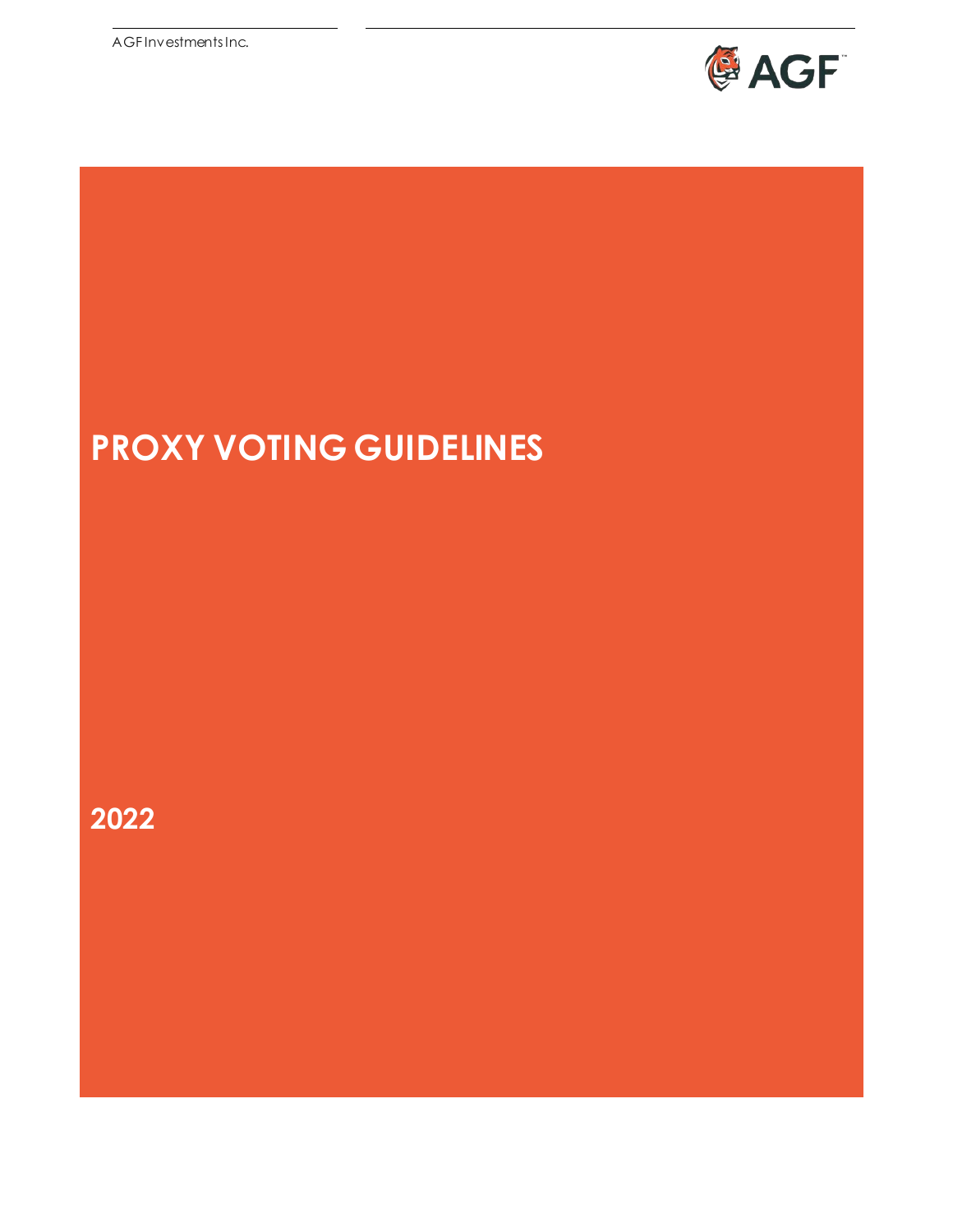AGF Investments Inc.



# **PROXY VOTING GUIDELINES**

**2022**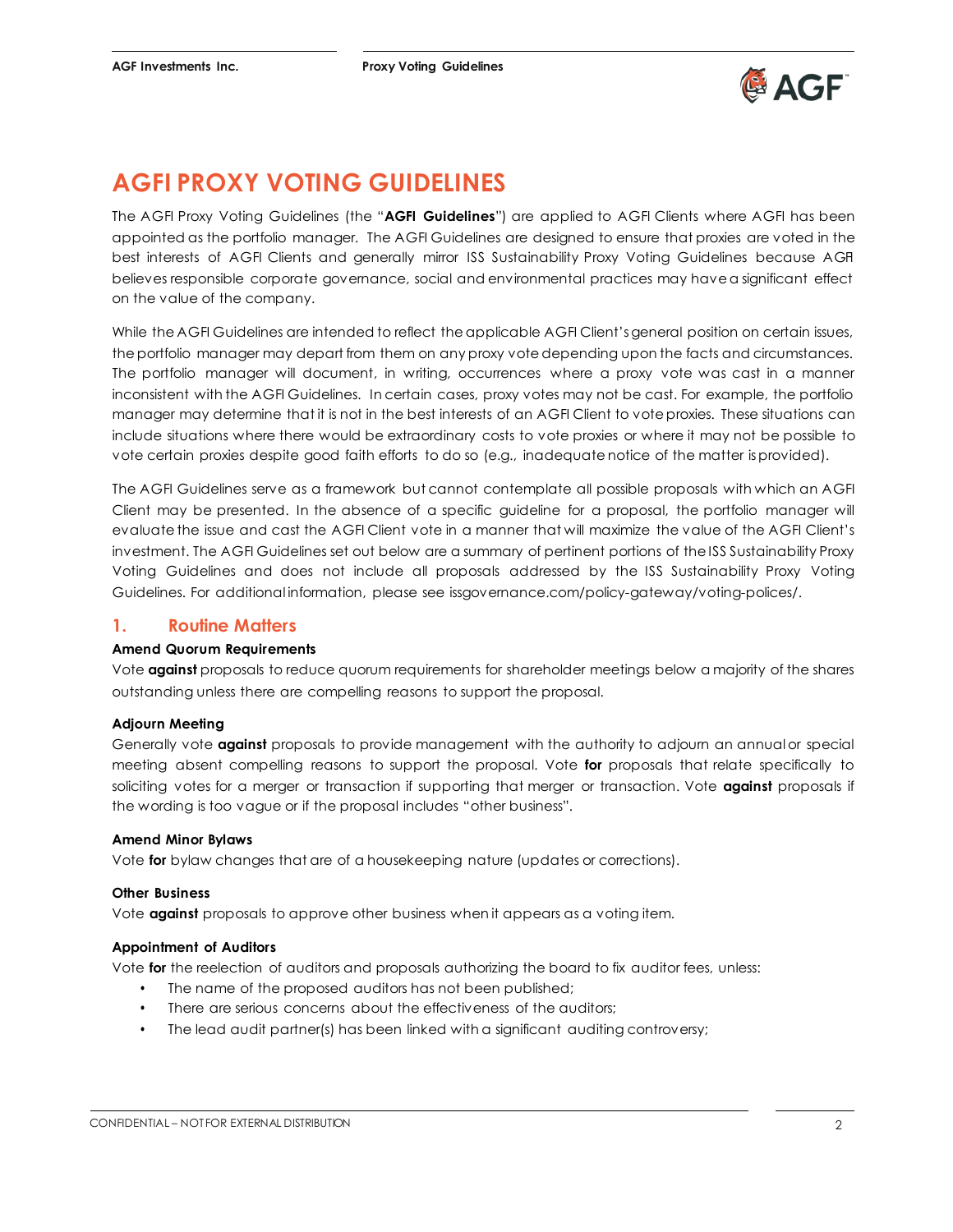

## **AGFI PROXY VOTING GUIDELINES**

The AGFI Proxy Voting Guidelines (the "**AGFI Guidelines**") are applied to AGFI Clients where AGFI has been appointed as the portfolio manager. The AGFI Guidelines are designed to ensure that proxies are voted in the best interests of AGFI Clients and generally mirror ISS Sustainability Proxy Voting Guidelines because AGFI believes responsible corporate governance, social and environmental practices may havea significant effect on the value of the company.

While the AGFI Guidelines are intended to reflect the applicable AGFI Client's general position on certain issues, theportfolio manager may depart from them on any proxy votedepending upon the facts and circumstances. The portfolio manager will document, in writing, occurrences where a proxy vote was cast in a manner inconsistent with the AGFI Guidelines. In certain cases, proxy votes may not be cast. For example, the portfolio manager may determine that it is not in the best interests of an AGFI Client to voteproxies. These situations can include situations where there would be extraordinary costs to vote proxies or where it may not be possible to vote certain proxies despite good faith efforts to do so (e.g., inadequate notice of the matter isprovided).

The AGFI Guidelines serve as a framework but cannot contemplate all possible proposals with which an AGFI Client may be presented. In the absence of a specific guideline for a proposal, the portfolio manager will evaluate the issue and cast the AGFI Client vote in a manner that will maximize the value of the AGFI Client's investment. The AGFI Guidelines set out below are a summary of pertinent portions of the ISS Sustainability Proxy Voting Guidelines and does not include all proposals addressed by the ISS Sustainability Proxy Voting Guidelines. For additional information, please see issgovernance.com/policy-gateway/voting-polices/.

### **1. Routine Matters**

#### **Amend Quorum Requirements**

Vote **against** proposals to reduce quorum requirements for shareholder meetings below a majority of the shares outstanding unless there are compelling reasons to support the proposal.

#### **Adjourn Meeting**

Generally vote **against** proposals to provide management with the authority to adjourn an annual or special meeting absent compelling reasons to support the proposal. Vote **for** proposals that relate specifically to soliciting votes for a merger or transaction if supporting that merger or transaction. Vote **against** proposals if the wording is too vague or if the proposal includes "other business".

#### **Amend Minor Bylaws**

Vote **for** bylaw changes that are of a housekeeping nature (updates or corrections).

#### **Other Business**

Vote **against** proposals to approve other business when it appears as a voting item.

#### **Appointment of Auditors**

Vote **for** the reelection of auditors and proposals authorizing the board to fix auditor fees, unless:

- The name of the proposed auditors has not been published;
- There are serious concerns about the effectiveness of the auditors;
- The lead audit partner(s) has been linked with a significant auditing controversy;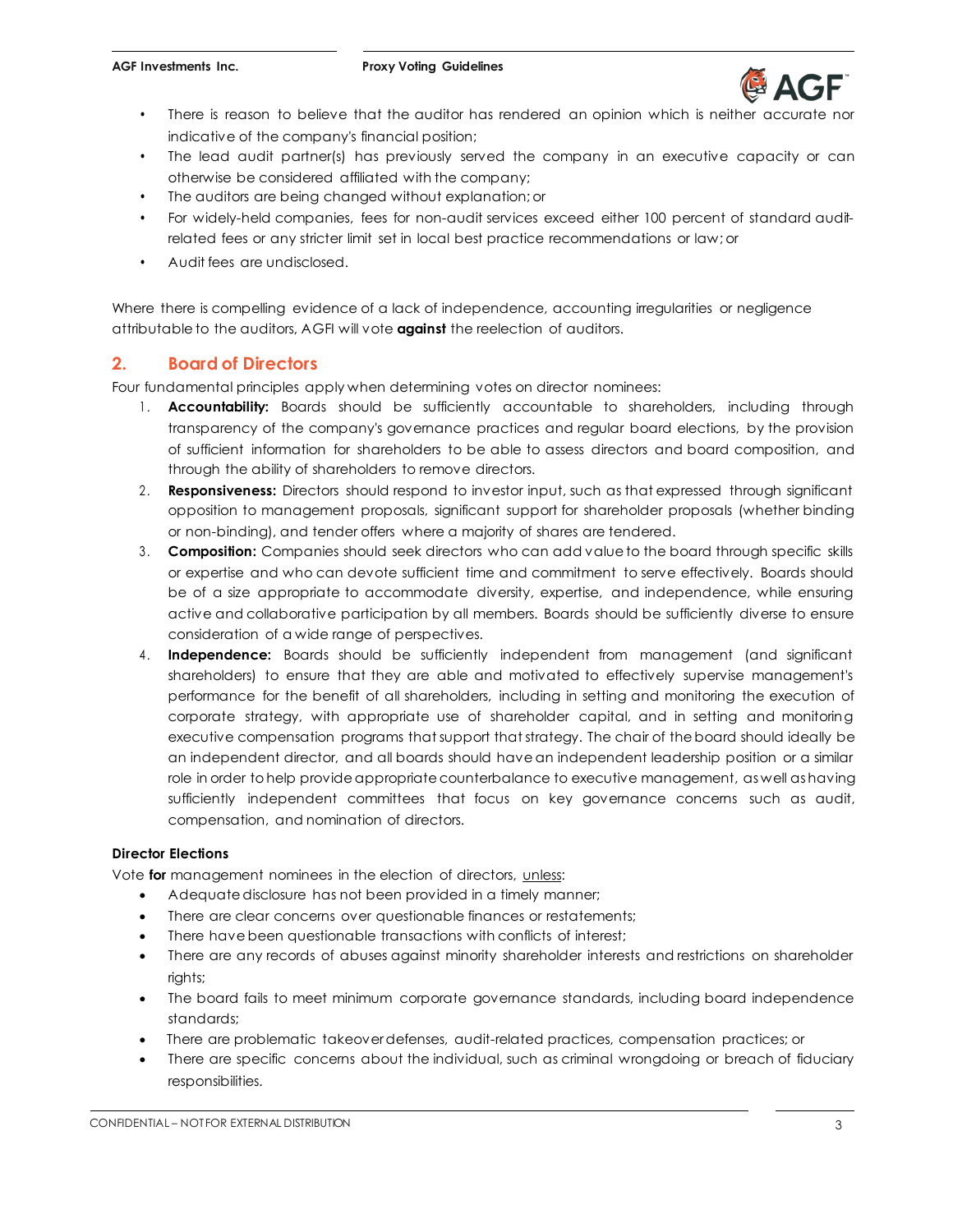

- There is reason to believe that the auditor has rendered an opinion which is neither accurate nor indicative of the company's financial position;
- The lead audit partner(s) has previously served the company in an executive capacity or can otherwise be considered affiliated with the company;
- The auditors are being changed without explanation; or
- For widely-held companies, fees for non-audit services exceed either 100 percent of standard auditrelated fees or any stricter limit set in local best practice recommendations or law; or
- Audit fees are undisclosed.

Where there is compelling evidence of a lack of independence, accounting irregularities or negligence attributable to the auditors, AGFI will vote **against** the reelection of auditors.

### **2. Board of Directors**

Four fundamental principles apply when determining votes on director nominees:

- 1. **Accountability:** Boards should be sufficiently accountable to shareholders, including through transparency of the company's governance practices and regular board elections, by the provision of sufficient information for shareholders to be able to assess directors and board composition, and through the ability of shareholders to remove directors.
- 2 . **Responsiveness:** Directors should respond to investor input, such as that expressed through significant opposition to management proposals, significant support for shareholder proposals (whether binding or non-binding), and tender offers where a majority of shares are tendered.
- 3 . **Composition:** Companies should seek directors who can add value to the board through specific skills or expertise and who can devote sufficient time and commitment to serve effectively. Boards should be of a size appropriate to accommodate diversity, expertise, and independence, while ensuring active and collaborative participation by all members. Boards should be sufficiently diverse to ensure consideration of a wide range of perspectives.
- 4 . **Independence:** Boards should be sufficiently independent from management (and significant shareholders) to ensure that they are able and motivated to effectively supervise management's performance for the benefit of all shareholders, including in setting and monitoring the execution of corporate strategy, with appropriate use of shareholder capital, and in setting and monitoring executive compensation programs that support that strategy. The chair of theboard should ideally be an independent director, and all boards should have an independent leadership position or a similar role in order to help provide appropriate counterbalance to executive management, as well as having sufficiently independent committees that focus on key governance concerns such as audit, compensation, and nomination of directors.

#### **Director Elections**

Vote **for** management nominees in the election of directors, unless:

- Adequate disclosure has not been provided in a timely manner;
- There are clear concerns over questionable finances or restatements;
- There have been questionable transactions with conflicts of interest;
- There are any records of abuses against minority shareholder interests and restrictions on shareholder rights;
- The board fails to meet minimum corporate governance standards, including board independence standards;
- There are problematic takeover defenses, audit-related practices, compensation practices; or
- There are specific concerns about the individual, such as criminal wrongdoing or breach of fiduciary responsibilities.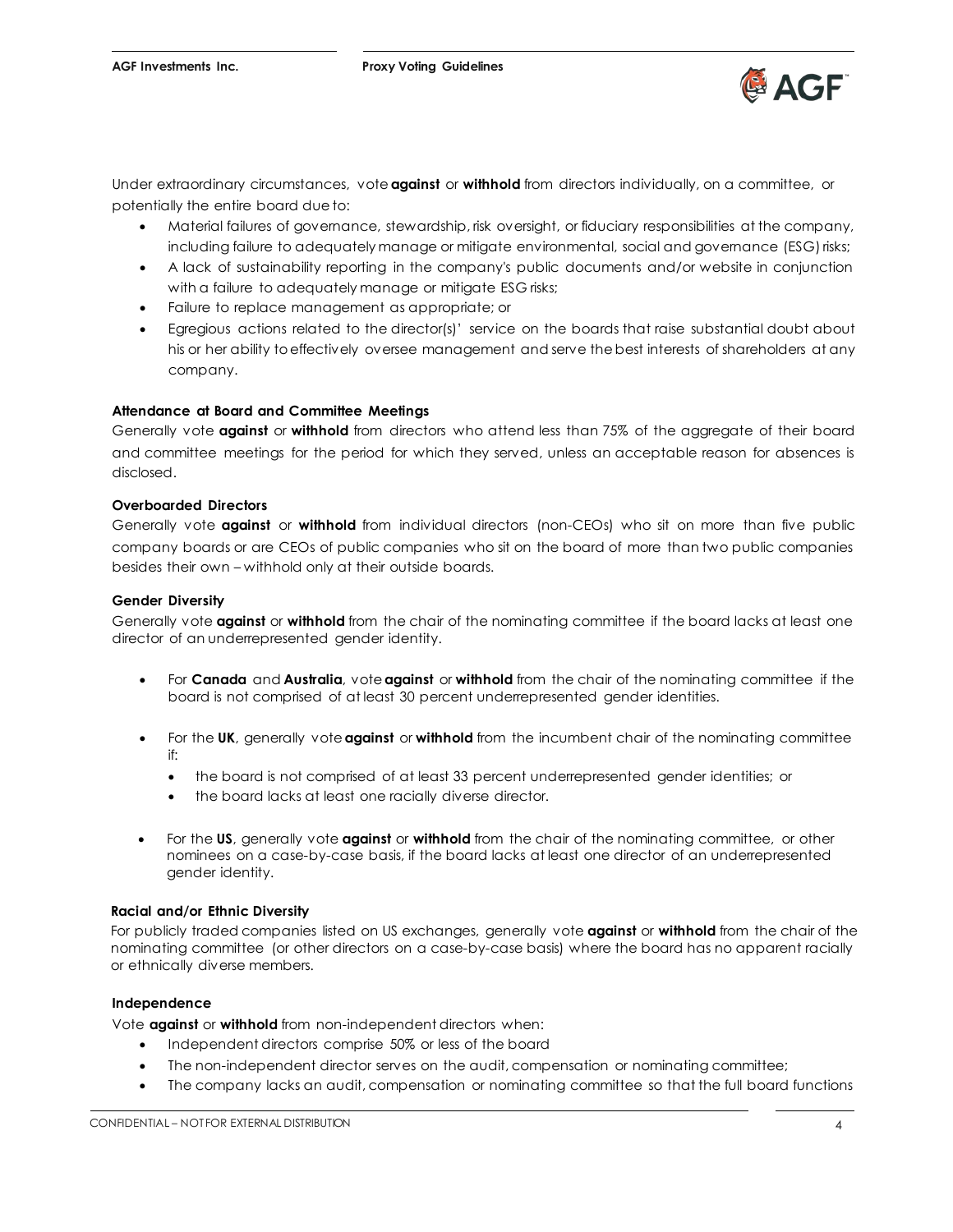

Under extraordinary circumstances, vote **against** or **withhold** from directors individually, on a committee, or potentially the entire board due to:

- Material failures of governance, stewardship, risk oversight, or fiduciary responsibilities at the company, including failure to adequately manage or mitigate environmental, social and governance (ESG) risks;
- A lack of sustainability reporting in the company's public documents and/or website in conjunction with a failure to adequately manage or mitigate ESG risks;
- Failure to replace management as appropriate; or
- Egregious actions related to the director(s)' service on the boards that raise substantial doubt about his or her ability toeffectively oversee management and serve thebest interests of shareholders at any company.

#### **Attendance at Board and Committee Meetings**

Generally vote **against** or **withhold** from directors who attend less than 75% of the aggregate of their board and committee meetings for the period for which they served, unless an acceptable reason for absences is disclosed.

#### **Overboarded Directors**

Generally vote **against** or **withhold** from individual directors (non-CEOs) who sit on more than five public company boards or are CEOs of public companies who sit on the board of more than two public companies besides their own – withhold only at their outside boards.

#### **Gender Diversity**

Generally vote **against** or **withhold** from the chair of the nominating committee if the board lacks at least one director of an underrepresented gender identity.

- For **Canada** and **Australia**, vote **against** or **withhold** from the chair of the nominating committee if the board is not comprised of at least 30 percent underrepresented gender identities.
- For the **UK**, generally vote **against** or **withhold** from the incumbent chair of the nominating committee if:
	- the board is not comprised of at least 33 percent underrepresented gender identities; or
	- the board lacks at least one racially diverse director.
- For the **US**, generally vote **against** or **withhold** from the chair of the nominating committee, or other nominees on a case-by-case basis, if the board lacks at least one director of an underrepresented gender identity.

#### **Racial and/or Ethnic Diversity**

For publicly traded companies listed on US exchanges, generally vote **against** or **withhold** from the chair of the nominating committee (or other directors on a case-by-case basis) where the board has no apparent racially or ethnically diverse members.

#### **Independence**

Vote **against** or **withhold** from non-independent directors when:

- Independent directors comprise 50% or less of the board
- The non-independent director serves on the audit, compensation or nominating committee;
- The company lacks an audit, compensation or nominating committee so that the full board functions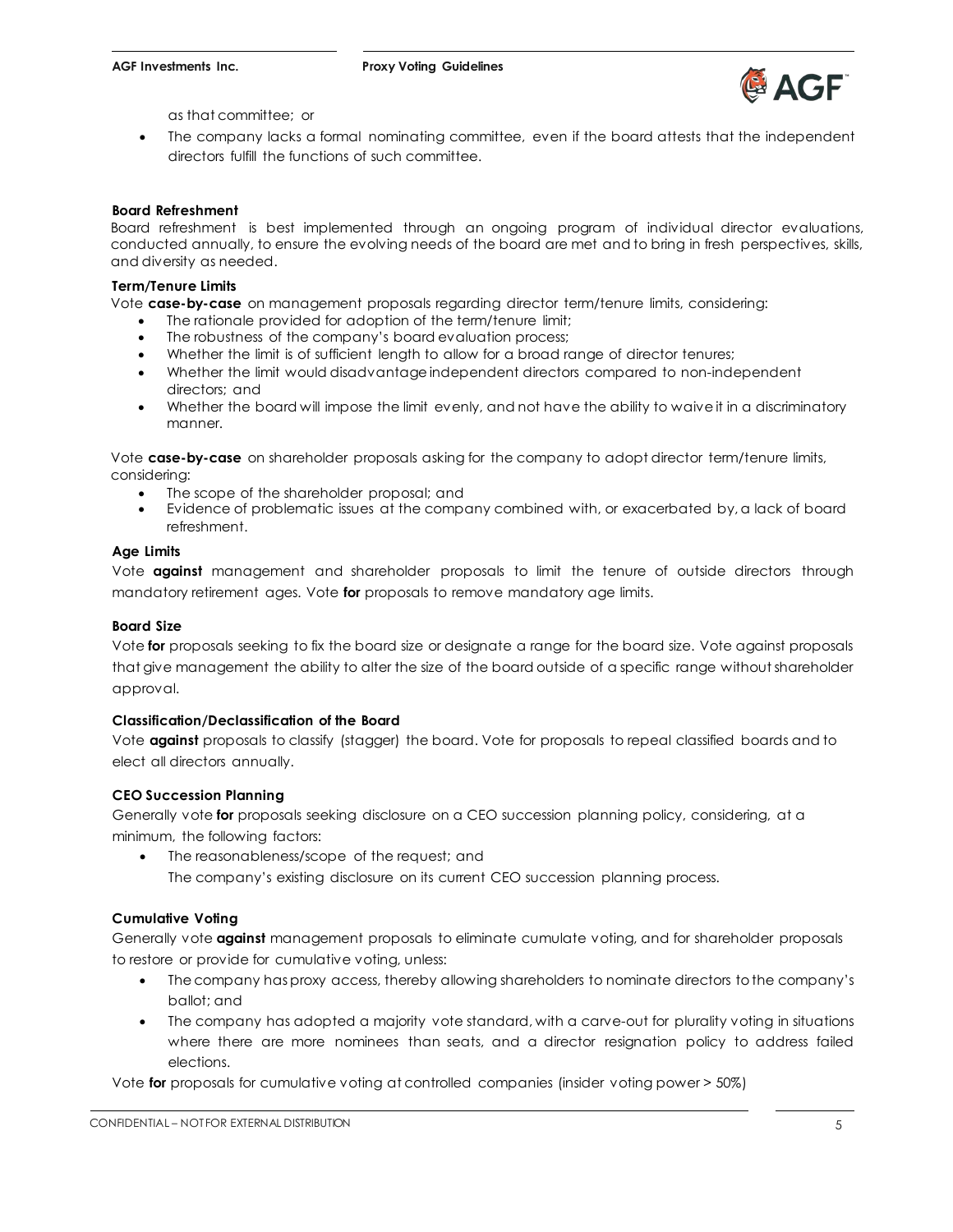

as that committee; or

• The company lacks a formal nominating committee, even if the board attests that the independent directors fulfill the functions of such committee.

#### **Board Refreshment**

Board refreshment is best implemented through an ongoing program of individual director evaluations, conducted annually, to ensure the evolving needs of the board are met and to bring in fresh perspectives, skills, and diversity as needed.

#### **Term/Tenure Limits**

Vote **case-by-case** on management proposals regarding director term/tenure limits, considering:

- The rationale provided for adoption of the term/tenure limit:
- The robustness of the company's board evaluation process;
- Whether the limit is of sufficient length to allow for a broad range of director tenures;
- Whether the limit would disadvantage independent directors compared to non-independent directors; and
- Whether the board will impose the limit evenly, and not have the ability to waive it in a discriminatory manner.

Vote **case-by-case** on shareholder proposals asking for the company to adopt director term/tenure limits, considering:

- The scope of the shareholder proposal; and
- Evidence of problematic issues at the company combined with, or exacerbated by, a lack of board refreshment.

#### **Age Limits**

Vote **against** management and shareholder proposals to limit the tenure of outside directors through mandatory retirement ages. Vote **for** proposals to remove mandatory age limits.

#### **Board Size**

Vote **for** proposals seeking to fix the board size or designate a range for the board size. Vote against proposals that give management the ability to alter the size of the board outside of a specific range without shareholder approval.

#### **Classification/Declassification of the Board**

Vote **against** proposals to classify (stagger) the board. Vote for proposals to repeal classified boards and to elect all directors annually.

#### **CEO Succession Planning**

Generally vote **for** proposals seeking disclosure on a CEO succession planning policy, considering, at a minimum, the following factors:

• The reasonableness/scope of the request; and The company's existing disclosure on its current CEO succession planning process.

#### **Cumulative Voting**

Generally vote **against** management proposals to eliminate cumulate voting, and for shareholder proposals to restore or provide for cumulative voting, unless:

- The company has proxy access, thereby allowing shareholders to nominate directors to the company's ballot; and
- The company has adopted a majority vote standard, with a carve-out for plurality voting in situations where there are more nominees than seats, and a director resignation policy to address failed elections.

Vote **for** proposals for cumulative voting at controlled companies (insider voting power > 50%)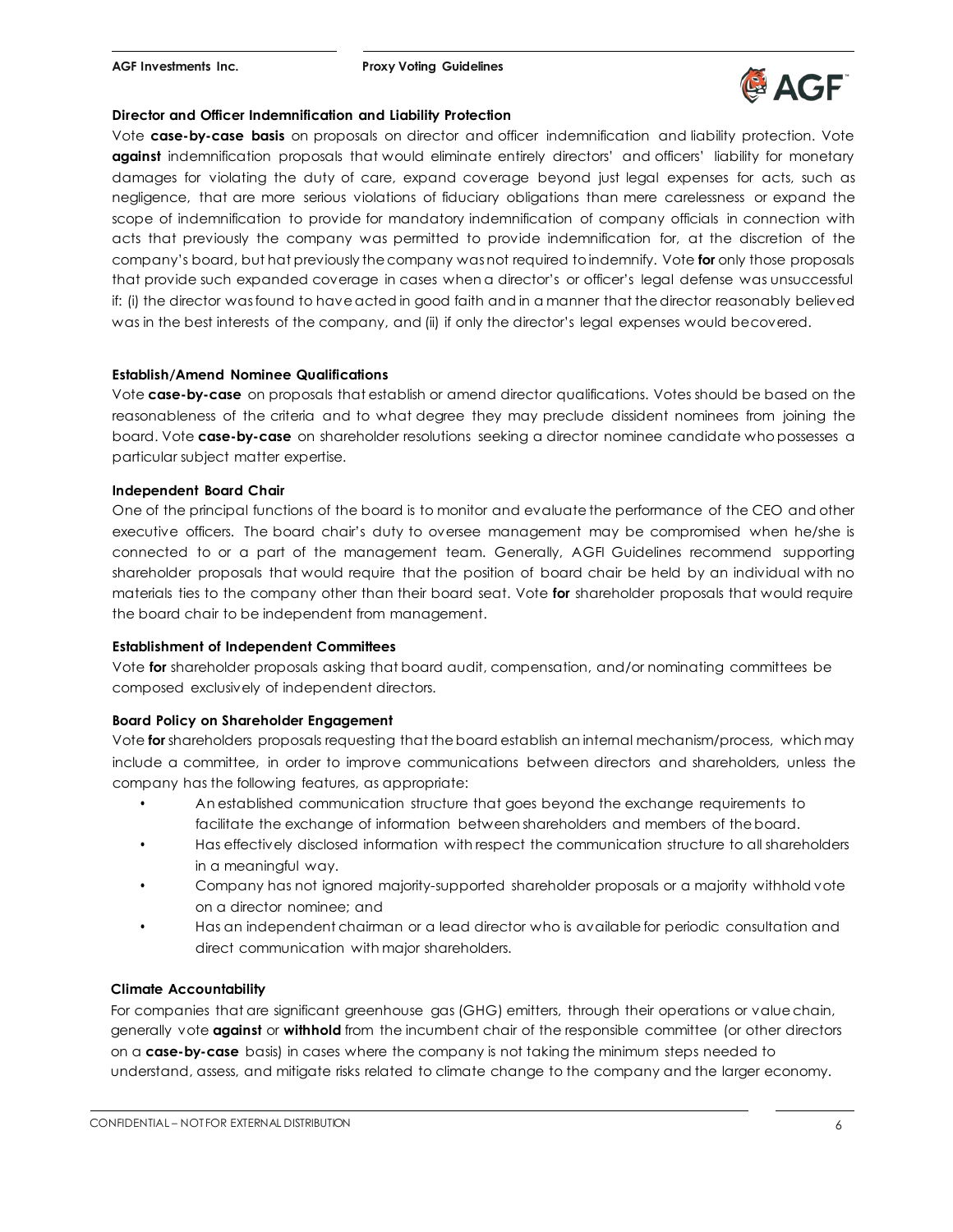

#### **Director and Officer Indemnification and Liability Protection**

Vote **case-by-case basis** on proposals on director and officer indemnification and liability protection. Vote **against** indemnification proposals that would eliminate entirely directors' and officers' liability for monetary damages for violating the duty of care, expand coverage beyond just legal expenses for acts, such as negligence, that are more serious violations of fiduciary obligations than mere carelessness or expand the scope of indemnification to provide for mandatory indemnification of company officials in connection with acts that previously the company was permitted to provide indemnification for, at the discretion of the company's board, but hat previously the company was not required toindemnify. Vote **for** only those proposals that provide such expanded coverage in cases when a director's or officer's legal defense was unsuccessful if: (i) the director was found to have acted in good faith and in a manner that the director reasonably believed was in the best interests of the company, and (ii) if only the director's legal expenses would becovered.

#### **Establish/Amend Nominee Qualifications**

Vote **case-by-case** on proposals that establish or amend director qualifications. Votes should be based on the reasonableness of the criteria and to what degree they may preclude dissident nominees from joining the board. Vote **case-by-case** on shareholder resolutions seeking a director nominee candidate whopossesses a particular subject matter expertise.

#### **Independent Board Chair**

One of the principal functions of the board is to monitor and evaluate the performance of the CEO and other executive officers. The board chair's duty to oversee management may be compromised when he/she is connected to or a part of the management team. Generally, AGFI Guidelines recommend supporting shareholder proposals that would require that the position of board chair be held by an individual with no materials ties to the company other than their board seat. Vote **for** shareholder proposals that would require the board chair to be independent from management.

#### **Establishment of Independent Committees**

Vote **for** shareholder proposals asking that board audit, compensation, and/or nominating committees be composed exclusively of independent directors.

#### **Board Policy on Shareholder Engagement**

Vote **for** shareholders proposals requesting that theboard establish an internal mechanism/process, which may include a committee, in order to improve communications between directors and shareholders, unless the company has the following features, as appropriate:

- An established communication structure that goes beyond the exchange requirements to facilitate the exchange of information between shareholders and members of theboard.
- Has effectively disclosed information with respect the communication structure to all shareholders in a meaningful way.
- Company has not ignored majority-supported shareholder proposals or a majority withhold vote on a director nominee; and
- Has an independent chairman or a lead director who is available for periodic consultation and direct communication with major shareholders.

#### **Climate Accountability**

For companies that are significant greenhouse gas (GHG) emitters, through their operations or value chain, generally vote **against** or **withhold** from the incumbent chair of the responsible committee (or other directors on a **case-by-case** basis) in cases where the company is not taking the minimum steps needed to understand, assess, and mitigate risks related to climate change to the company and the larger economy.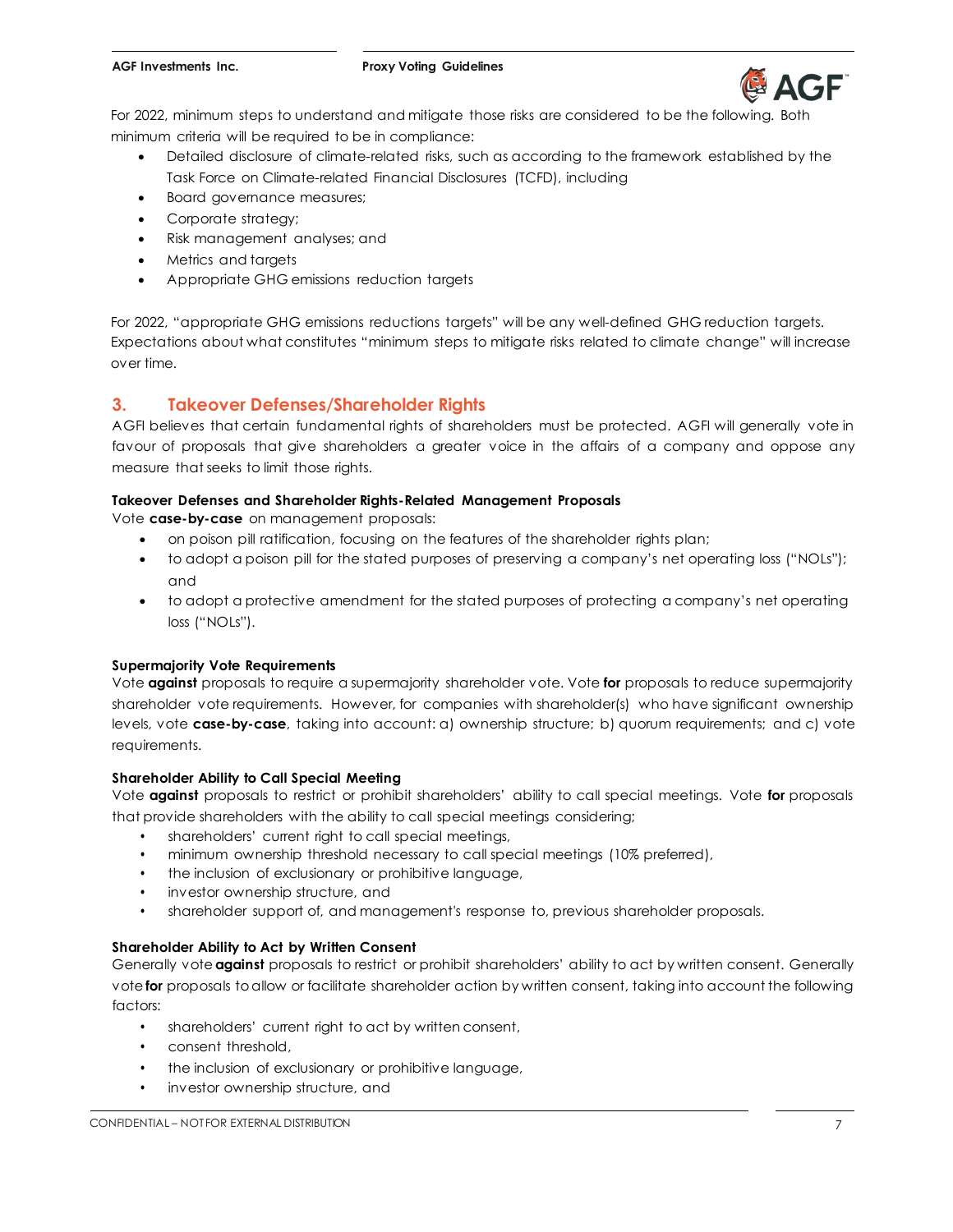

For 2022, minimum steps to understand and mitigate those risks are considered to be the following. Both minimum criteria will be required to be in compliance:

- Detailed disclosure of climate-related risks, such as according to the framework established by the Task Force on Climate-related Financial Disclosures (TCFD), including
- Board governance measures;
- Corporate strategy;
- Risk management analyses; and
- Metrics and targets
- Appropriate GHG emissions reduction targets

For 2022, "appropriate GHG emissions reductions targets" will be any well-defined GHG reduction targets. Expectations about what constitutes "minimum steps to mitigate risks related to climate change" will increase over time.

### **3. Takeover Defenses/Shareholder Rights**

AGFI believes that certain fundamental rights of shareholders must be protected. AGFI will generally vote in favour of proposals that give shareholders a greater voice in the affairs of a company and oppose any measure that seeks to limit those rights.

#### **Takeover Defenses and Shareholder Rights-Related Management Proposals**

Vote **case-by-case** on management proposals:

- on poison pill ratification, focusing on the features of the shareholder rights plan;
- to adopt a poison pill for the stated purposes of preserving a company's net operating loss ("NOLs"); and
- to adopt a protective amendment for the stated purposes of protecting a company's net operating loss ("NOLs").

#### **Supermajority Vote Requirements**

Vote **against** proposals to require a supermajority shareholder vote. Vote **for** proposals to reduce supermajority shareholder vote requirements. However, for companies with shareholder(s) who have significant ownership levels, vote **case-by-case**, taking into account: a) ownership structure; b) quorum requirements; and c) vote requirements.

#### **Shareholder Ability to Call Special Meeting**

Vote **against** proposals to restrict or prohibit shareholders' ability to call special meetings. Vote **for** proposals that provide shareholders with the ability to call special meetings considering;

- shareholders' current right to call special meetings,
- minimum ownership threshold necessary to call special meetings (10% preferred),
- the inclusion of exclusionary or prohibitive language,
- investor ownership structure, and
- shareholder support of, and management's response to, previous shareholder proposals.

#### **Shareholder Ability to Act by Written Consent**

Generally vote **against** proposals to restrict or prohibit shareholders' ability to act by written consent. Generally vote **for** proposals toallow or facilitate shareholder action by written consent, taking into account the following factors:

- shareholders' current right to act by written consent,
- consent threshold,
- the inclusion of exclusionary or prohibitive language,
- investor ownership structure, and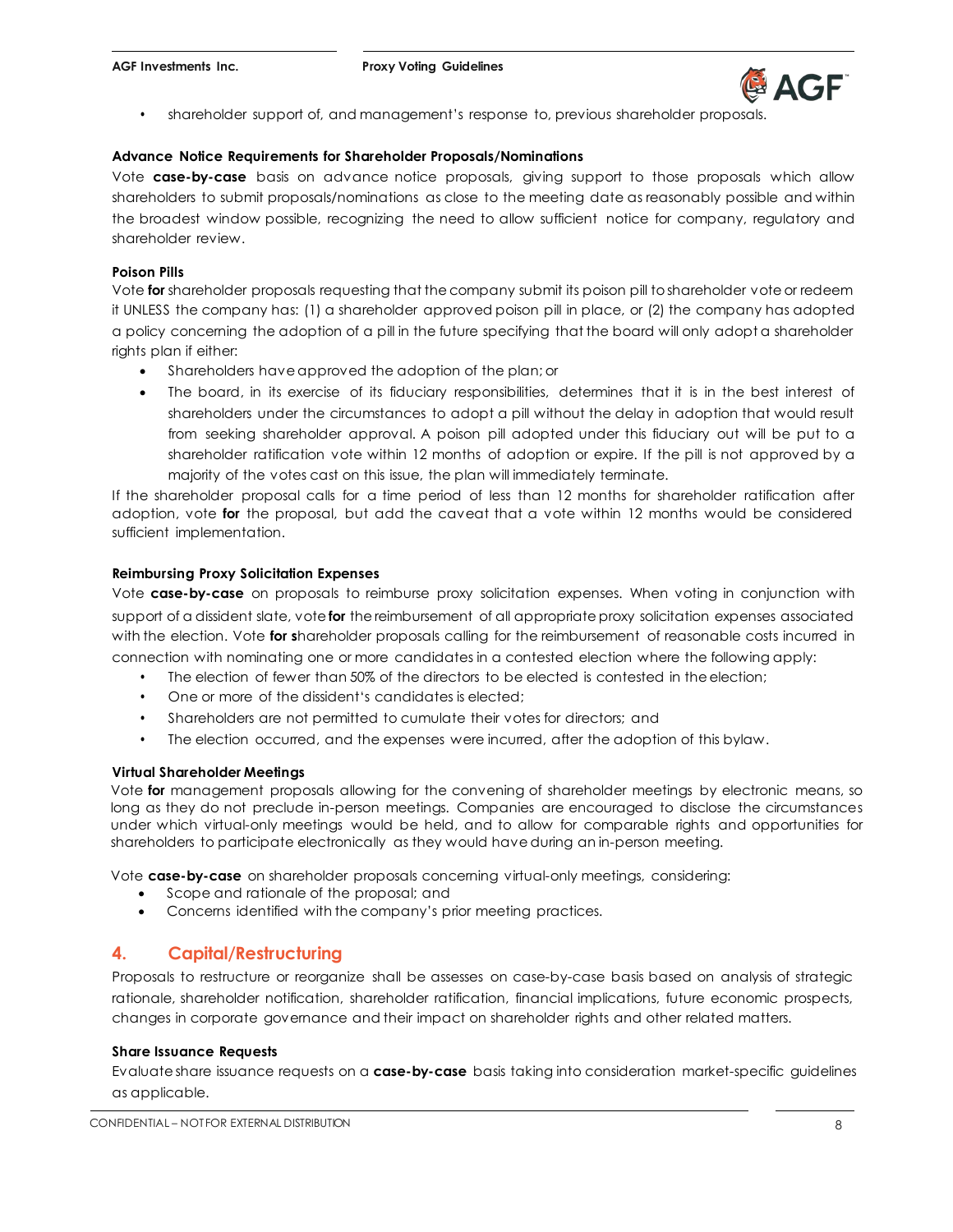

• shareholder support of, and management's response to, previous shareholder proposals.

#### **Advance Notice Requirements for Shareholder Proposals/Nominations**

Vote **case-by-case** basis on advance notice proposals, giving support to those proposals which allow shareholders to submit proposals/nominations as close to the meeting date as reasonably possible and within the broadest window possible, recognizing the need to allow sufficient notice for company, regulatory and shareholder review.

#### **Poison Pills**

Vote **for** shareholder proposals requesting that the company submit its poison pill toshareholder vote or redeem it UNLESS the company has: (1) a shareholder approved poison pill in place, or (2) the company has adopted a policy concerning the adoption of a pill in the future specifying that the board will only adopt a shareholder rights plan if either:

- Shareholders have approved the adoption of the plan; or
- The board, in its exercise of its fiduciary responsibilities, determines that it is in the best interest of shareholders under the circumstances to adopt a pill without the delay in adoption that would result from seeking shareholder approval. A poison pill adopted under this fiduciary out will be put to a shareholder ratification vote within 12 months of adoption or expire. If the pill is not approved by a majority of the votes cast on this issue, the plan will immediately terminate.

If the shareholder proposal calls for a time period of less than 12 months for shareholder ratification after adoption, vote **for** the proposal, but add the caveat that a vote within 12 months would be considered sufficient implementation.

#### **Reimbursing Proxy Solicitation Expenses**

Vote **case-by-case** on proposals to reimburse proxy solicitation expenses. When voting in conjunction with support of a dissident slate, vote **for** the reimbursement of all appropriate proxy solicitation expenses associated with the election. Vote **for s**hareholder proposals calling for the reimbursement of reasonable costs incurred in connection with nominating one or more candidates in a contested election where the following apply:

- The election of fewer than 50% of the directors to be elected is contested in the election;
- One or more of the dissident's candidates is elected;
- Shareholders are not permitted to cumulate their votes for directors; and
- The election occurred, and the expenses were incurred, after the adoption of this bylaw.

#### **Virtual Shareholder Meetings**

Vote **for** management proposals allowing for the convening of shareholder meetings by electronic means, so long as they do not preclude in-person meetings. Companies are encouraged to disclose the circumstances under which virtual-only meetings would be held, and to allow for comparable rights and opportunities for shareholders to participate electronically as they would have during an in-person meeting.

Vote **case-by-case** on shareholder proposals concerning virtual-only meetings, considering:

- Scope and rationale of the proposal; and
- Concerns identified with the company's prior meeting practices.

#### **4. Capital/Restructuring**

Proposals to restructure or reorganize shall be assesses on case-by-case basis based on analysis of strategic rationale, shareholder notification, shareholder ratification, financial implications, future economic prospects, changes in corporate governance and their impact on shareholder rights and other related matters.

#### **Share Issuance Requests**

Evaluate share issuance requests on a **case-by-case** basis taking into consideration market-specific guidelines as applicable.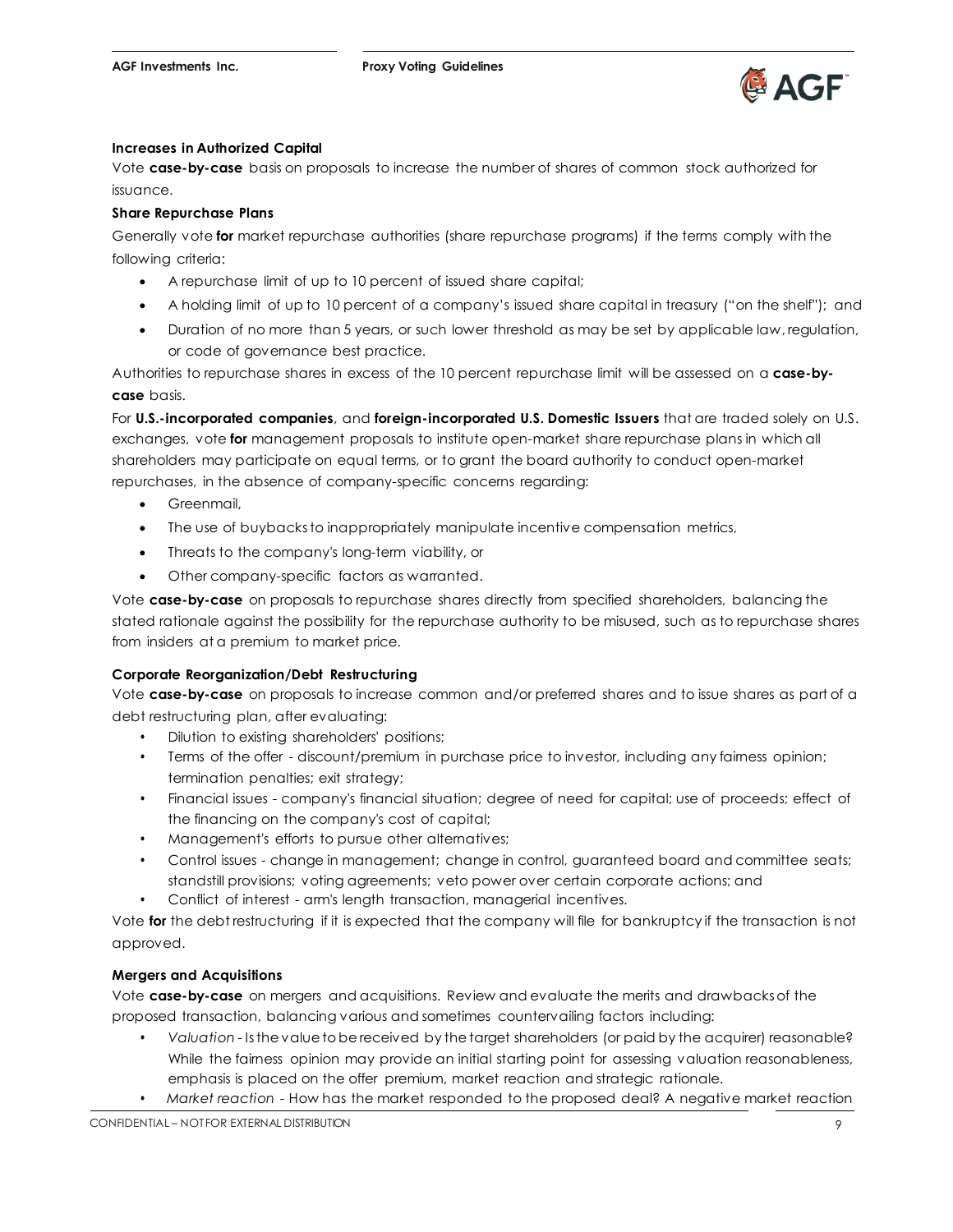

#### **Increases in Authorized Capital**

Vote **case-by-case** basis on proposals to increase the number of shares of common stock authorized for issuance.

#### **Share Repurchase Plans**

Generally vote **for** market repurchase authorities (share repurchase programs) if the terms comply with the following criteria:

- A repurchase limit of up to 10 percent of issued share capital;
- A holding limit of up to 10 percent of a company's issued share capital in treasury ("on the shelf"); and
- Duration of no more than 5 years, or such lower threshold as may be set by applicable law, regulation, or code of governance best practice.

Authorities to repurchase shares in excess of the 10 percent repurchase limit will be assessed on a **case-bycase** basis.

For **U.S.-incorporated companies**, and **foreign-incorporated U.S. Domestic Issuers** that are traded solely on U.S. exchanges, vote **for** management proposals to institute open-market share repurchase plans in which all shareholders may participate on equal terms, or to grant the board authority to conduct open-market repurchases, in the absence of company-specific concerns regarding:

- Greenmail,
- The use of buybacks to inappropriately manipulate incentive compensation metrics,
- Threats to the company's long-term viability, or
- Other company-specific factors as warranted.

Vote **case-by-case** on proposals to repurchase shares directly from specified shareholders, balancing the stated rationale against the possibility for the repurchase authority to be misused, such as to repurchase shares from insiders at a premium to market price.

#### **Corporate Reorganization/Debt Restructuring**

Vote **case-by-case** on proposals to increase common and/or preferred shares and to issue shares as part of a debt restructuring plan, after evaluating:

- Dilution to existing shareholders' positions;
- Terms of the offer discount/premium in purchase price to investor, including any fairness opinion; termination penalties; exit strategy;
- Financial issues company's financial situation; degree of need for capital; use of proceeds; effect of the financing on the company's cost of capital;
- Management's efforts to pursue other alternatives;
- Control issues change in management; change in control, guaranteed board and committee seats; standstill provisions; voting agreements; veto power over certain corporate actions; and
- Conflict of interest arm's length transaction, managerial incentives.

Vote **for** the debt restructuring if it is expected that the company will file for bankruptcy if the transaction is not approved.

#### **Mergers and Acquisitions**

Vote **case-by-case** on mergers and acquisitions. Review and evaluate the merits and drawbacks of the proposed transaction, balancing various and sometimes countervailing factors including:

- *Valuation* Isthe value tobe received by the target shareholders (or paid by the acquirer) reasonable? While the fairness opinion may provide an initial starting point for assessing valuation reasonableness, emphasis is placed on the offer premium, market reaction and strategic rationale.
- *Market reaction*  How has the market responded to the proposed deal? A negative market reaction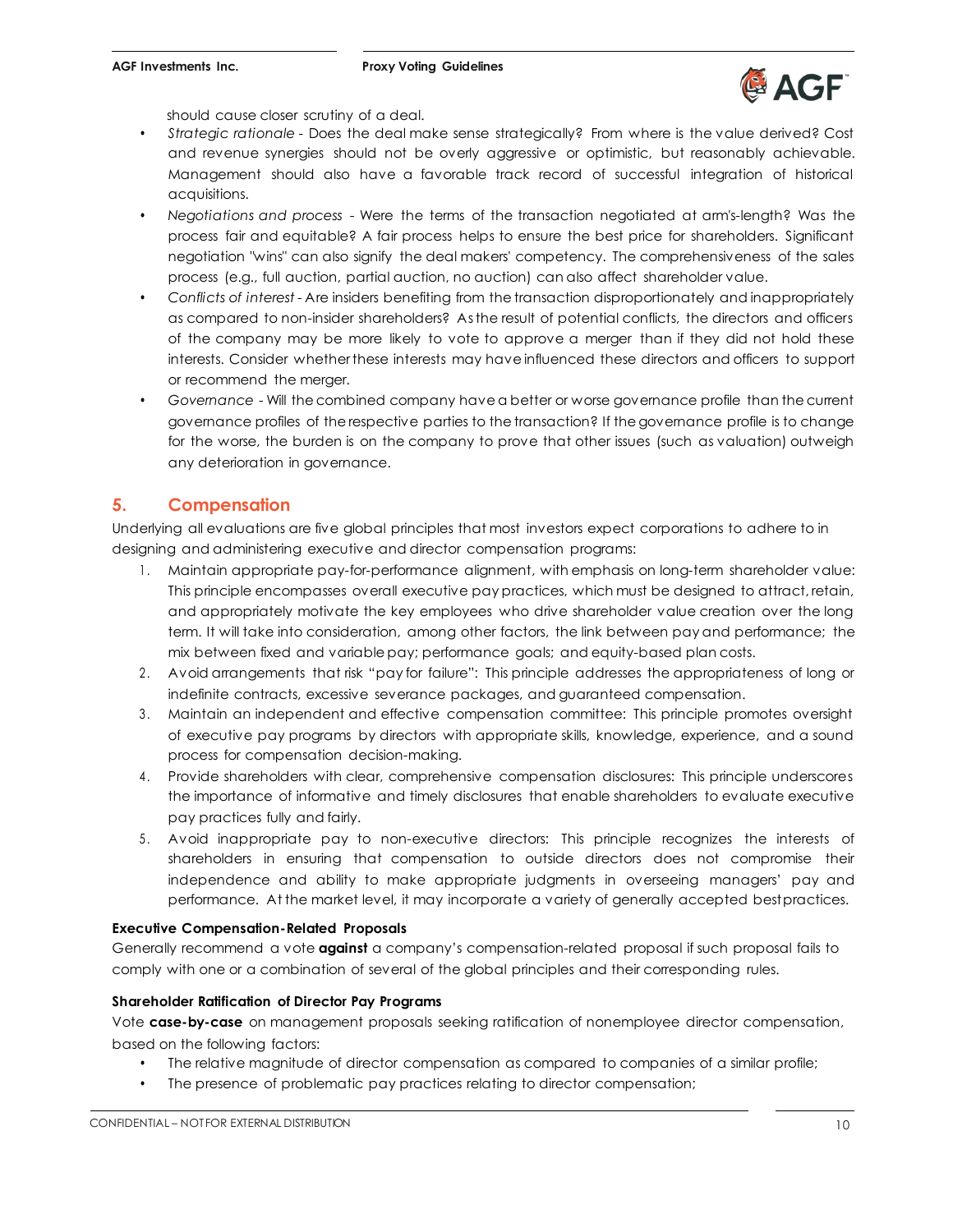

should cause closer scrutiny of a deal.

- *Strategic rationale*  Does the deal make sense strategically? From where is the value derived? Cost and revenue synergies should not be overly aggressive or optimistic, but reasonably achievable. Management should also have a favorable track record of successful integration of historical acquisitions.
- *Negotiations and process*  Were the terms of the transaction negotiated at arm's-length? Was the process fair and equitable? A fair process helps to ensure the best price for shareholders. Significant negotiation "wins" can also signify the deal makers' competency. The comprehensiveness of the sales process (e.g., full auction, partial auction, no auction) can also affect shareholder value.
- *Conflicts of interest* Are insiders benefiting from the transaction disproportionately and inappropriately as compared to non-insider shareholders? Asthe result of potential conflicts, the directors and officers of the company may be more likely to vote to approve a merger than if they did not hold these interests. Consider whetherthese interests may have influenced these directors and officers to support or recommend the merger.
- *Governance* Will the combined company havea better or worse governance profile than the current governance profiles of the respective parties to the transaction? If thegovernance profile is to change for the worse, the burden is on the company to prove that other issues (such as valuation) outweigh any deterioration in governance.

### **5. Compensation**

Underlying all evaluations are five global principles that most investors expect corporations to adhere to in designing and administering executive and director compensation programs:

- 1 . Maintain appropriate pay-for-performance alignment, with emphasis on long-term shareholder value: This principle encompasses overall executive pay practices, which must be designed to attract, retain, and appropriately motivate the key employees who drive shareholder value creation over the long term. It will take into consideration, among other factors, the link between pay and performance; the mix between fixed and variable pay; performance goals; and equity-based plan costs.
- 2 . Avoid arrangements that risk "pay for failure": This principle addresses the appropriateness of long or indefinite contracts, excessive severance packages, and guaranteed compensation.
- 3 . Maintain an independent and effective compensation committee: This principle promotes oversight of executive pay programs by directors with appropriate skills, knowledge, experience, and a sound process for compensation decision-making.
- 4 . Provide shareholders with clear, comprehensive compensation disclosures: This principle underscores the importance of informative and timely disclosures that enable shareholders to evaluate executive pay practices fully and fairly.
- 5 . Avoid inappropriate pay to non-executive directors: This principle recognizes the interests of shareholders in ensuring that compensation to outside directors does not compromise their independence and ability to make appropriate judgments in overseeing managers' pay and performance. At the market level, it may incorporate a variety of generally accepted bestpractices.

#### **Executive Compensation-Related Proposals**

Generally recommend a vote **against** a company's compensation-related proposal if such proposal fails to comply with one or a combination of several of the global principles and their corresponding rules.

#### **Shareholder Ratification of Director Pay Programs**

Vote **case-by-case** on management proposals seeking ratification of nonemployee director compensation, based on the following factors:

- The relative magnitude of director compensation as compared to companies of a similar profile;
- The presence of problematic pay practices relating to director compensation;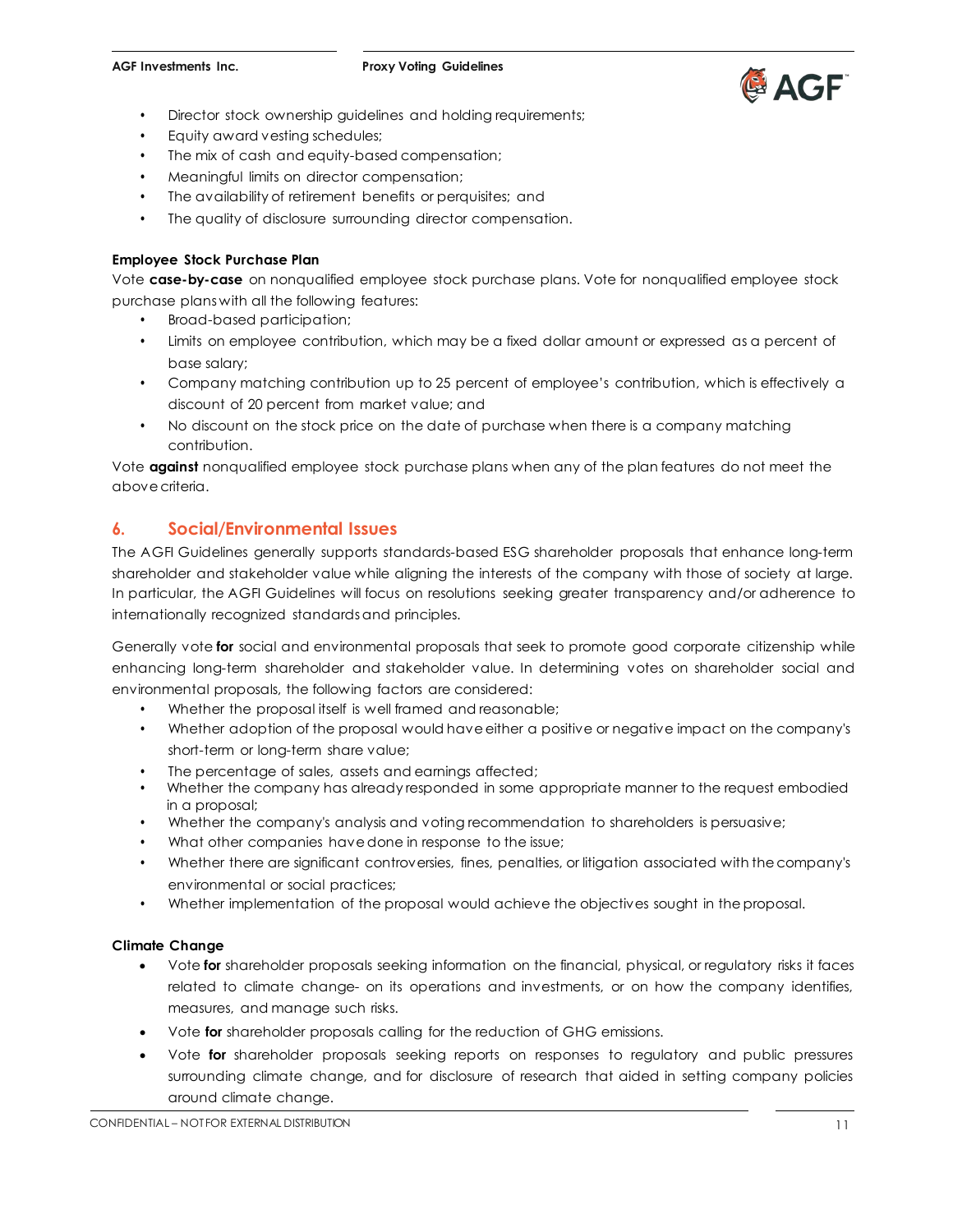

- Director stock ownership quidelines and holding requirements;
- Equity award vesting schedules;
- The mix of cash and equity-based compensation;
- Meaningful limits on director compensation;
- The availability of retirement benefits or perquisites; and
- The quality of disclosure surrounding director compensation.

#### **Employee Stock Purchase Plan**

Vote **case-by-case** on nonqualified employee stock purchase plans. Vote for nonqualified employee stock purchase plans with all the following features:

- Broad-based participation;
- Limits on employee contribution, which may be a fixed dollar amount or expressed as a percent of base salary;
- Company matching contribution up to 25 percent of employee's contribution, which is effectively a discount of 20 percent from market value; and
- No discount on the stock price on the date of purchase when there is a company matching contribution.

Vote **against** nonqualified employee stock purchase plans when any of the plan features do not meet the above criteria.

### **6. Social/Environmental Issues**

The AGFI Guidelines generally supports standards-based ESG shareholder proposals that enhance long-term shareholder and stakeholder value while aligning the interests of the company with those of society at large. In particular, the AGFI Guidelines will focus on resolutions seeking greater transparency and/or adherence to internationally recognized standards and principles.

Generally vote **for** social and environmental proposals that seek to promote good corporate citizenship while enhancing long-term shareholder and stakeholder value. In determining votes on shareholder social and environmental proposals, the following factors are considered:

- Whether the proposal itself is well framed and reasonable;
- Whether adoption of the proposal would have either a positive or negative impact on the company's short-term or long-term share value;
- The percentage of sales, assets and earnings affected;
- Whether the company has already responded in some appropriate manner to the request embodied in a proposal;
- Whether the company's analysis and voting recommendation to shareholders is persuasive;
- What other companies have done in response to the issue;
- Whether there are significant controversies, fines, penalties, or litigation associated with the company's environmental or social practices;
- Whether implementation of the proposal would achieve the objectives sought in theproposal.

#### **Climate Change**

- Vote **for** shareholder proposals seeking information on the financial, physical, or regulatory risks it faces related to climate change- on its operations and investments, or on how the company identifies, measures, and manage such risks.
- Vote **for** shareholder proposals calling for the reduction of GHG emissions.
- Vote **for** shareholder proposals seeking reports on responses to regulatory and public pressures surrounding climate change, and for disclosure of research that aided in setting company policies around climate change.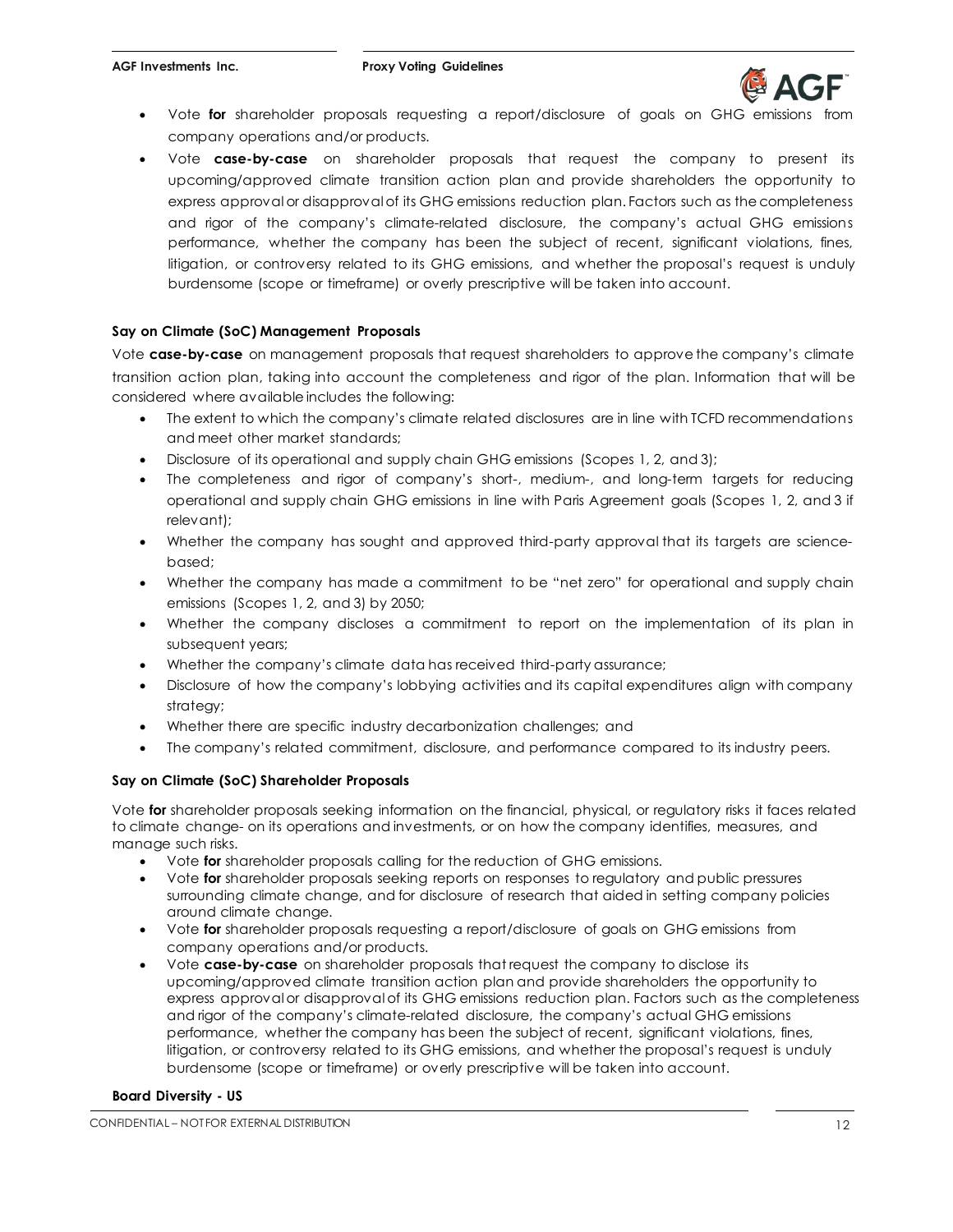

- Vote for shareholder proposals requesting a report/disclosure of goals on GHG emissions company operations and/or products.
- Vote **case-by-case** on shareholder proposals that request the company to present its upcoming/approved climate transition action plan and provide shareholders the opportunity to express approval or disapproval of its GHG emissions reduction plan. Factors such as the completeness and rigor of the company's climate-related disclosure, the company's actual GHG emissions performance, whether the company has been the subject of recent, significant violations, fines, litigation, or controversy related to its GHG emissions, and whether the proposal's request is unduly burdensome (scope or timeframe) or overly prescriptive will be taken into account.

#### **Say on Climate (SoC) Management Proposals**

Vote **case-by-case** on management proposals that request shareholders to approve the company's climate transition action plan, taking into account the completeness and rigor of the plan. Information that will be considered where available includes the following:

- The extent to which the company's climate related disclosures are in line with TCFD recommendations and meet other market standards;
- Disclosure of its operational and supply chain GHG emissions (Scopes 1, 2, and 3);
- The completeness and rigor of company's short-, medium-, and long-term targets for reducing operational and supply chain GHG emissions in line with Paris Agreement goals (Scopes 1, 2, and 3 if relevant);
- Whether the company has sought and approved third-party approval that its targets are sciencebased;
- Whether the company has made a commitment to be "net zero" for operational and supply chain emissions (Scopes 1, 2, and 3) by 2050;
- Whether the company discloses a commitment to report on the implementation of its plan in subsequent years;
- Whether the company's climate data has received third-party assurance;
- Disclosure of how the company's lobbying activities and its capital expenditures align with company strategy;
- Whether there are specific industry decarbonization challenges; and
- The company's related commitment, disclosure, and performance compared to its industry peers.

#### **Say on Climate (SoC) Shareholder Proposals**

Vote **for** shareholder proposals seeking information on the financial, physical, or regulatory risks it faces related to climate change- on its operations and investments, or on how the company identifies, measures, and manage such risks.

- Vote **for** shareholder proposals calling for the reduction of GHG emissions.
- Vote **for** shareholder proposals seeking reports on responses to regulatory and public pressures surrounding climate change, and for disclosure of research that aided in setting company policies around climate change.
- Vote **for** shareholder proposals requesting a report/disclosure of goals on GHG emissions from company operations and/or products.
- Vote **case-by-case** on shareholder proposals that request the company to disclose its upcoming/approved climate transition action plan and provide shareholders the opportunity to express approval or disapproval of its GHG emissions reduction plan. Factors such as the completeness and rigor of the company's climate-related disclosure, the company's actual GHG emissions performance, whether the company has been the subject of recent, significant violations, fines, litigation, or controversy related to its GHG emissions, and whether the proposal's request is unduly burdensome (scope or timeframe) or overly prescriptive will be taken into account.

#### **Board Diversity - US**